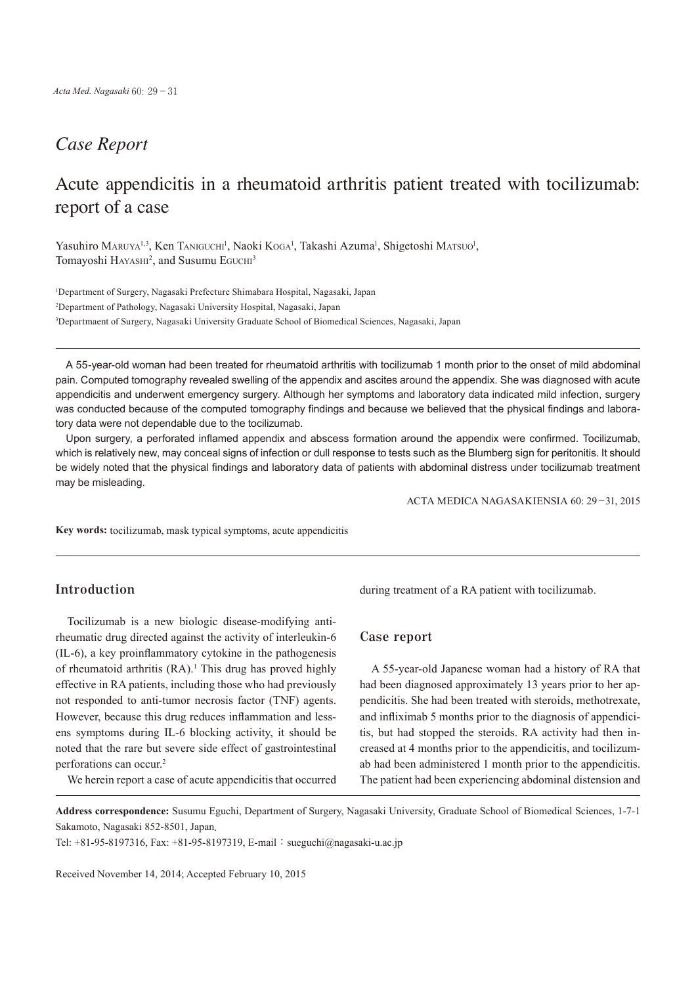## *Case Report*

# Acute appendicitis in a rheumatoid arthritis patient treated with tocilizumab: report of a case

Yasuhiro MARUYA<sup>1,3</sup>, Ken TANIGUCHI<sup>1</sup>, Naoki KoGA<sup>1</sup>, Takashi Azuma<sup>1</sup>, Shigetoshi MATSUO<sup>1</sup>, Tomayoshi HAYASHI<sup>2</sup>, and Susumu EGUCHI<sup>3</sup>

1 Department of Surgery, Nagasaki Prefecture Shimabara Hospital, Nagasaki, Japan 2 Department of Pathology, Nagasaki University Hospital, Nagasaki, Japan 3 Departmaent of Surgery, Nagasaki University Graduate School of Biomedical Sciences, Nagasaki, Japan

A 55-year-old woman had been treated for rheumatoid arthritis with tocilizumab 1 month prior to the onset of mild abdominal pain. Computed tomography revealed swelling of the appendix and ascites around the appendix. She was diagnosed with acute appendicitis and underwent emergency surgery. Although her symptoms and laboratory data indicated mild infection, surgery was conducted because of the computed tomography findings and because we believed that the physical findings and laboratory data were not dependable due to the tocilizumab.

Upon surgery, a perforated inflamed appendix and abscess formation around the appendix were confirmed. Tocilizumab, which is relatively new, may conceal signs of infection or dull response to tests such as the Blumberg sign for peritonitis. It should be widely noted that the physical findings and laboratory data of patients with abdominal distress under tocilizumab treatment may be misleading.

ACTA MEDICA NAGASAKIENSIA 60: 29−31, 2015

**Key words:** tocilizumab, mask typical symptoms, acute appendicitis

### **Introduction**

Tocilizumab is a new biologic disease-modifying antirheumatic drug directed against the activity of interleukin-6 (IL-6), a key proinflammatory cytokine in the pathogenesis of rheumatoid arthritis (RA). <sup>1</sup> This drug has proved highly effective in RA patients, including those who had previously not responded to anti-tumor necrosis factor (TNF) agents. However, because this drug reduces inflammation and lessens symptoms during IL-6 blocking activity, it should be noted that the rare but severe side effect of gastrointestinal perforations can occur. 2

We herein report a case of acute appendicitis that occurred

during treatment of a RA patient with tocilizumab.

#### **Case report**

A 55-year-old Japanese woman had a history of RA that had been diagnosed approximately 13 years prior to her appendicitis. She had been treated with steroids, methotrexate, and infliximab 5 months prior to the diagnosis of appendicitis, but had stopped the steroids. RA activity had then increased at 4 months prior to the appendicitis, and tocilizumab had been administered 1 month prior to the appendicitis. The patient had been experiencing abdominal distension and

**Address correspondence:** Susumu Eguchi, Department of Surgery, Nagasaki University, Graduate School of Biomedical Sciences, 1-7-1 Sakamoto, Nagasaki 852-8501, Japan.

Tel: +81-95-8197316, Fax: +81-95-8197319, E-mail: sueguchi@nagasaki-u.ac.jp

Received November 14, 2014; Accepted February 10, 2015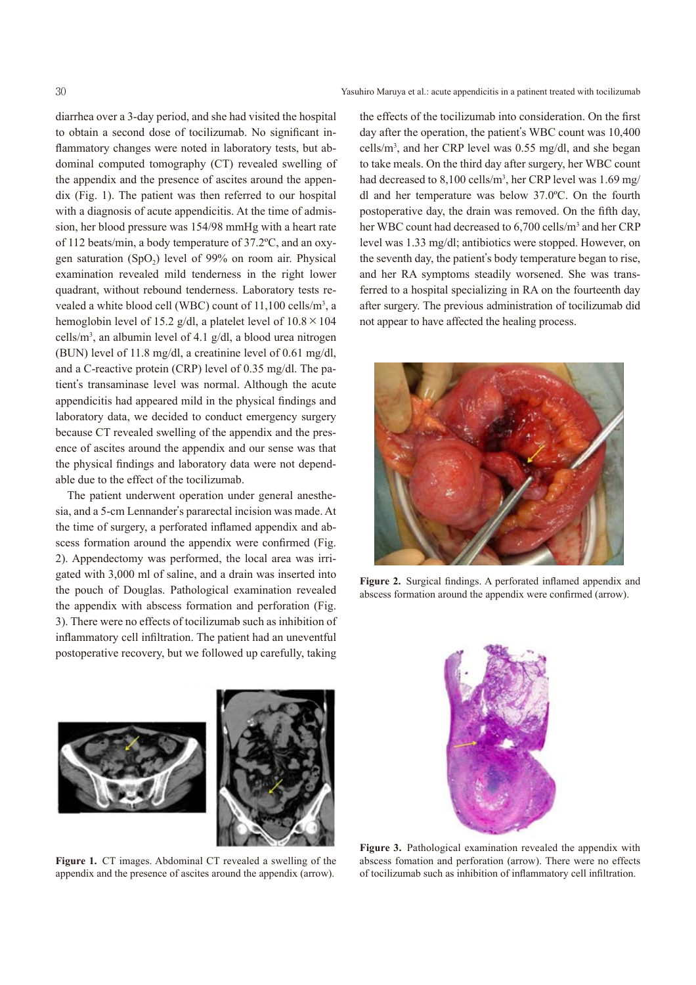30 Yasuhiro Maruya et al.: acute appendicitis in a patinent treated with tocilizumab

diarrhea over a 3-day period, and she had visited the hospital to obtain a second dose of tocilizumab. No significant inflammatory changes were noted in laboratory tests, but abdominal computed tomography (CT) revealed swelling of the appendix and the presence of ascites around the appendix (Fig. 1). The patient was then referred to our hospital with a diagnosis of acute appendicitis. At the time of admission, her blood pressure was 154/98 mmHg with a heart rate of 112 beats/min, a body temperature of 37.2ºC, and an oxygen saturation  $(SpO<sub>2</sub>)$  level of 99% on room air. Physical examination revealed mild tenderness in the right lower quadrant, without rebound tenderness. Laboratory tests revealed a white blood cell (WBC) count of 11,100 cells/m<sup>3</sup>, a hemoglobin level of 15.2 g/dl, a platelet level of  $10.8 \times 104$ cells/m3 , an albumin level of 4.1 g/dl, a blood urea nitrogen (BUN) level of 11.8 mg/dl, a creatinine level of 0.61 mg/dl, and a C-reactive protein (CRP) level of 0.35 mg/dl. The patient's transaminase level was normal. Although the acute appendicitis had appeared mild in the physical findings and laboratory data, we decided to conduct emergency surgery because CT revealed swelling of the appendix and the presence of ascites around the appendix and our sense was that the physical findings and laboratory data were not dependable due to the effect of the tocilizumab.

The patient underwent operation under general anesthesia, and a 5-cm Lennander's pararectal incision was made. At the time of surgery, a perforated inflamed appendix and abscess formation around the appendix were confirmed (Fig. 2). Appendectomy was performed, the local area was irrigated with 3,000 ml of saline, and a drain was inserted into the pouch of Douglas. Pathological examination revealed the appendix with abscess formation and perforation (Fig. 3). There were no effects of tocilizumab such as inhibition of inflammatory cell infiltration. The patient had an uneventful postoperative recovery, but we followed up carefully, taking

the effects of the tocilizumab into consideration. On the first day after the operation, the patient's WBC count was 10,400 cells/m3 , and her CRP level was 0.55 mg/dl, and she began to take meals. On the third day after surgery, her WBC count had decreased to 8,100 cells/m3 , her CRP level was 1.69 mg/ dl and her temperature was below 37.0ºC. On the fourth postoperative day, the drain was removed. On the fifth day, her WBC count had decreased to 6,700 cells/m<sup>3</sup> and her CRP level was 1.33 mg/dl; antibiotics were stopped. However, on the seventh day, the patient's body temperature began to rise, and her RA symptoms steadily worsened. She was transferred to a hospital specializing in RA on the fourteenth day after surgery. The previous administration of tocilizumab did not appear to have affected the healing process.



**Figure 2.** Surgical findings. A perforated inflamed appendix and abscess formation around the appendix were confirmed (arrow).



**Figure 1.** CT images. Abdominal CT revealed a swelling of the appendix and the presence of ascites around the appendix (arrow).



**Figure 3.** Pathological examination revealed the appendix with abscess fomation and perforation (arrow). There were no effects of tocilizumab such as inhibition of inflammatory cell infiltration.